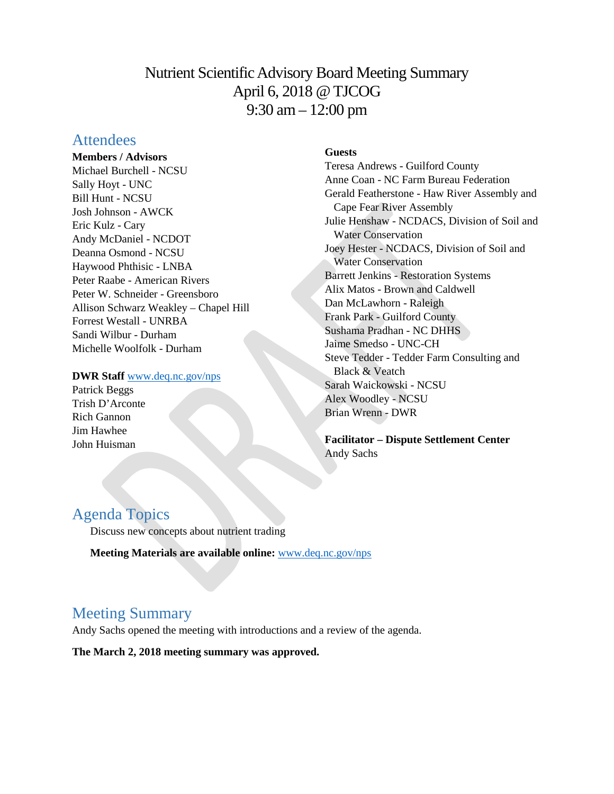# Nutrient Scientific Advisory Board Meeting Summary April 6, 2018 @ TJCOG 9:30 am – 12:00 pm

# **Attendees**

**Members / Advisors** Michael Burchell - NCSU Sally Hoyt - UNC Bill Hunt - NCSU Josh Johnson - AWCK Eric Kulz - Cary Andy McDaniel - NCDOT Deanna Osmond - NCSU Haywood Phthisic - LNBA Peter Raabe - American Rivers Peter W. Schneider - Greensboro Allison Schwarz Weakley – Chapel Hill Forrest Westall - UNRBA Sandi Wilbur - Durham Michelle Woolfolk - Durham

#### **DWR Staff** [www.deq.nc.gov/nps](http://www.deq.nc.gov/nps)

Patrick Beggs Trish D'Arconte Rich Gannon Jim Hawhee John Huisman

### **Guests**

Teresa Andrews - Guilford County Anne Coan - NC Farm Bureau Federation Gerald Featherstone - Haw River Assembly and Cape Fear River Assembly Julie Henshaw - NCDACS, Division of Soil and Water Conservation Joey Hester - NCDACS, Division of Soil and Water Conservation Barrett Jenkins - Restoration Systems Alix Matos - Brown and Caldwell Dan McLawhorn - Raleigh Frank Park - Guilford County Sushama Pradhan - NC DHHS Jaime Smedso - UNC-CH Steve Tedder - Tedder Farm Consulting and Black & Veatch Sarah Waickowski - NCSU Alex Woodley - NCSU Brian Wrenn - DWR

**Facilitator – Dispute Settlement Center** Andy Sachs

# Agenda Topics

Discuss new concepts about nutrient trading

**Meeting Materials are available online:** [www.deq.nc.gov/nps](https://deq.nc.gov/about/divisions/water-resources/planning/nonpoint-source-management/nutrient-scientific-advisory-board/meeting-documents)

# Meeting Summary

Andy Sachs opened the meeting with introductions and a review of the agenda.

**The March 2, 2018 meeting summary was approved.**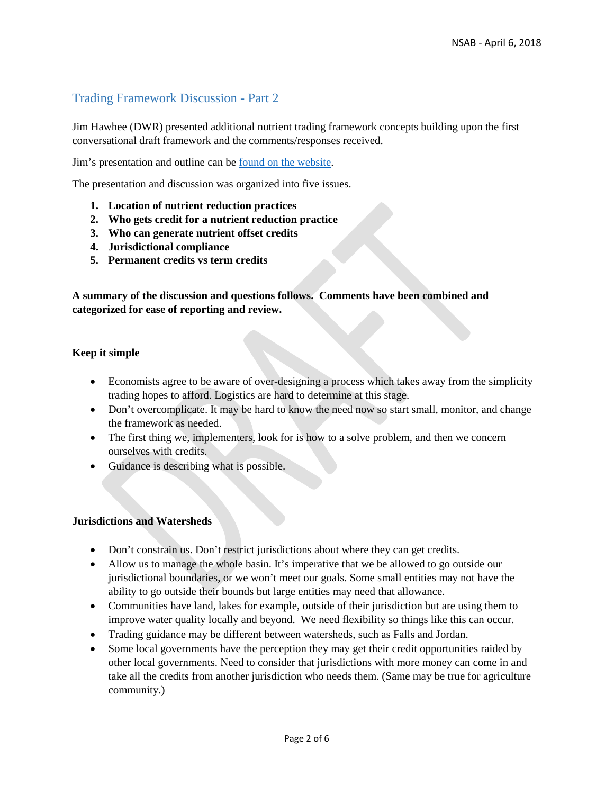## Trading Framework Discussion - Part 2

Jim Hawhee (DWR) presented additional nutrient trading framework concepts building upon the first conversational draft framework and the comments/responses received.

Jim's presentation and outline can be [found on the website.](https://deq.nc.gov/about/divisions/water-resources/planning/nonpoint-source-management/nutrient-scientific-advisory-board/meeting-documents)

The presentation and discussion was organized into five issues.

- **1. Location of nutrient reduction practices**
- **2. Who gets credit for a nutrient reduction practice**
- **3. Who can generate nutrient offset credits**
- **4. Jurisdictional compliance**
- **5. Permanent credits vs term credits**

**A summary of the discussion and questions follows. Comments have been combined and categorized for ease of reporting and review.** 

#### **Keep it simple**

- Economists agree to be aware of over-designing a process which takes away from the simplicity trading hopes to afford. Logistics are hard to determine at this stage.
- Don't overcomplicate. It may be hard to know the need now so start small, monitor, and change the framework as needed.
- The first thing we, implementers, look for is how to a solve problem, and then we concern ourselves with credits.
- Guidance is describing what is possible.

#### **Jurisdictions and Watersheds**

- Don't constrain us. Don't restrict jurisdictions about where they can get credits.
- Allow us to manage the whole basin. It's imperative that we be allowed to go outside our jurisdictional boundaries, or we won't meet our goals. Some small entities may not have the ability to go outside their bounds but large entities may need that allowance.
- Communities have land, lakes for example, outside of their jurisdiction but are using them to improve water quality locally and beyond. We need flexibility so things like this can occur.
- Trading guidance may be different between watersheds, such as Falls and Jordan.
- Some local governments have the perception they may get their credit opportunities raided by other local governments. Need to consider that jurisdictions with more money can come in and take all the credits from another jurisdiction who needs them. (Same may be true for agriculture community.)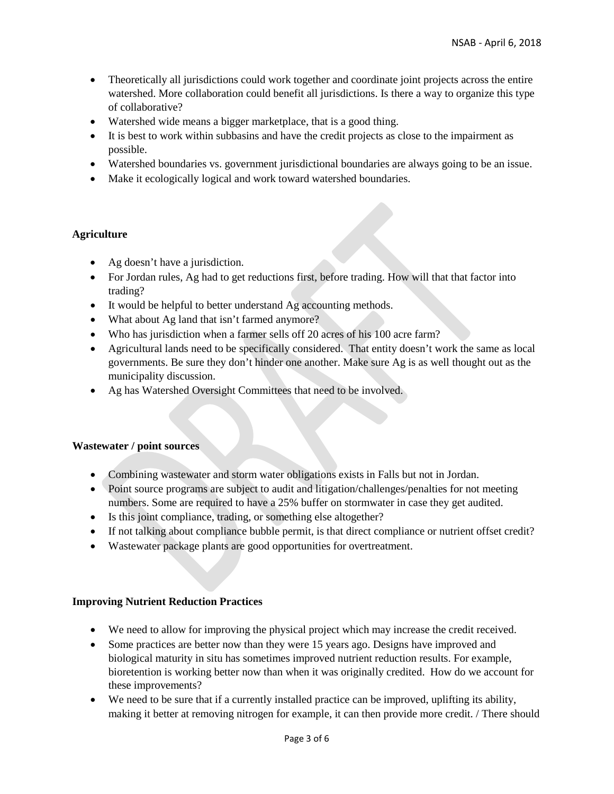- Theoretically all jurisdictions could work together and coordinate joint projects across the entire watershed. More collaboration could benefit all jurisdictions. Is there a way to organize this type of collaborative?
- Watershed wide means a bigger marketplace, that is a good thing.
- It is best to work within subbasins and have the credit projects as close to the impairment as possible.
- Watershed boundaries vs. government jurisdictional boundaries are always going to be an issue.
- Make it ecologically logical and work toward watershed boundaries.

#### **Agriculture**

- Ag doesn't have a jurisdiction.
- For Jordan rules, Ag had to get reductions first, before trading. How will that that factor into trading?
- It would be helpful to better understand Ag accounting methods.
- What about Ag land that isn't farmed anymore?
- Who has jurisdiction when a farmer sells off 20 acres of his 100 acre farm?
- Agricultural lands need to be specifically considered. That entity doesn't work the same as local governments. Be sure they don't hinder one another. Make sure Ag is as well thought out as the municipality discussion.
- Ag has Watershed Oversight Committees that need to be involved.

#### **Wastewater / point sources**

- Combining wastewater and storm water obligations exists in Falls but not in Jordan.
- Point source programs are subject to audit and litigation/challenges/penalties for not meeting numbers. Some are required to have a 25% buffer on stormwater in case they get audited.
- Is this joint compliance, trading, or something else altogether?
- If not talking about compliance bubble permit, is that direct compliance or nutrient offset credit?
- Wastewater package plants are good opportunities for overtreatment.

#### **Improving Nutrient Reduction Practices**

- We need to allow for improving the physical project which may increase the credit received.
- Some practices are better now than they were 15 years ago. Designs have improved and biological maturity in situ has sometimes improved nutrient reduction results. For example, bioretention is working better now than when it was originally credited. How do we account for these improvements?
- We need to be sure that if a currently installed practice can be improved, uplifting its ability, making it better at removing nitrogen for example, it can then provide more credit. / There should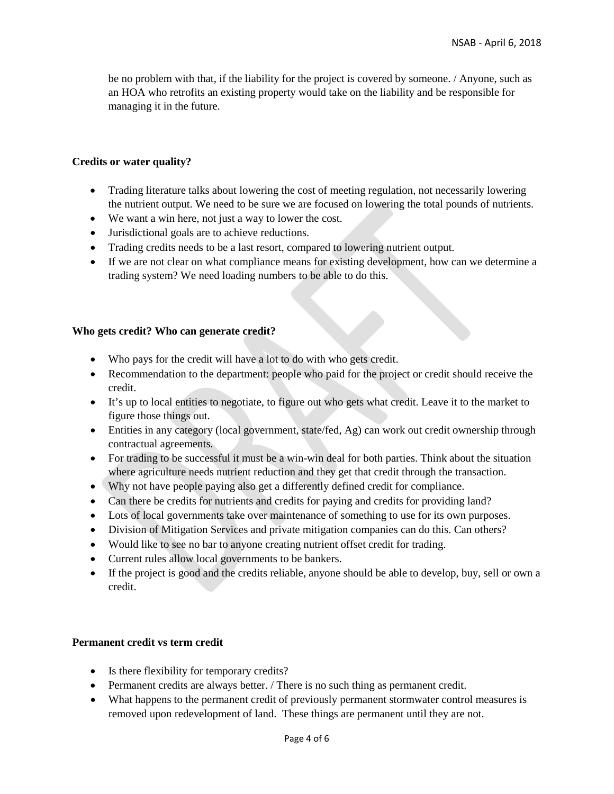be no problem with that, if the liability for the project is covered by someone. / Anyone, such as an HOA who retrofits an existing property would take on the liability and be responsible for managing it in the future.

#### **Credits or water quality?**

- Trading literature talks about lowering the cost of meeting regulation, not necessarily lowering the nutrient output. We need to be sure we are focused on lowering the total pounds of nutrients.
- We want a win here, not just a way to lower the cost.
- Jurisdictional goals are to achieve reductions.
- Trading credits needs to be a last resort, compared to lowering nutrient output.
- If we are not clear on what compliance means for existing development, how can we determine a trading system? We need loading numbers to be able to do this.

#### **Who gets credit? Who can generate credit?**

- Who pays for the credit will have a lot to do with who gets credit.
- Recommendation to the department: people who paid for the project or credit should receive the credit.
- It's up to local entities to negotiate, to figure out who gets what credit. Leave it to the market to figure those things out.
- Entities in any category (local government, state/fed, Ag) can work out credit ownership through contractual agreements.
- For trading to be successful it must be a win-win deal for both parties. Think about the situation where agriculture needs nutrient reduction and they get that credit through the transaction.
- Why not have people paying also get a differently defined credit for compliance.
- Can there be credits for nutrients and credits for paying and credits for providing land?
- Lots of local governments take over maintenance of something to use for its own purposes.
- Division of Mitigation Services and private mitigation companies can do this. Can others?
- Would like to see no bar to anyone creating nutrient offset credit for trading.
- Current rules allow local governments to be bankers.
- If the project is good and the credits reliable, anyone should be able to develop, buy, sell or own a credit.

#### **Permanent credit vs term credit**

- Is there flexibility for temporary credits?
- Permanent credits are always better. / There is no such thing as permanent credit.
- What happens to the permanent credit of previously permanent stormwater control measures is removed upon redevelopment of land. These things are permanent until they are not.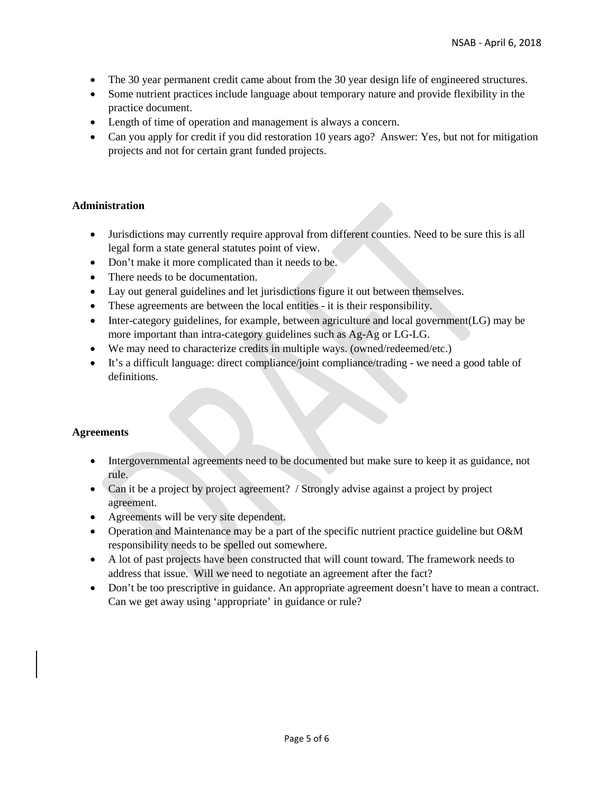- The 30 year permanent credit came about from the 30 year design life of engineered structures.
- Some nutrient practices include language about temporary nature and provide flexibility in the practice document.
- Length of time of operation and management is always a concern.
- Can you apply for credit if you did restoration 10 years ago? Answer: Yes, but not for mitigation projects and not for certain grant funded projects.

## **Administration**

- Jurisdictions may currently require approval from different counties. Need to be sure this is all legal form a state general statutes point of view.
- Don't make it more complicated than it needs to be.
- There needs to be documentation.
- Lay out general guidelines and let jurisdictions figure it out between themselves.
- These agreements are between the local entities it is their responsibility.
- Inter-category guidelines, for example, between agriculture and local government(LG) may be more important than intra-category guidelines such as Ag-Ag or LG-LG.
- We may need to characterize credits in multiple ways. (owned/redeemed/etc.)
- It's a difficult language: direct compliance/joint compliance/trading we need a good table of definitions.

## **Agreements**

- Intergovernmental agreements need to be documented but make sure to keep it as guidance, not rule.
- Can it be a project by project agreement? / Strongly advise against a project by project agreement.
- Agreements will be very site dependent.
- Operation and Maintenance may be a part of the specific nutrient practice guideline but O&M responsibility needs to be spelled out somewhere.
- A lot of past projects have been constructed that will count toward. The framework needs to address that issue. Will we need to negotiate an agreement after the fact?
- Don't be too prescriptive in guidance. An appropriate agreement doesn't have to mean a contract. Can we get away using 'appropriate' in guidance or rule?